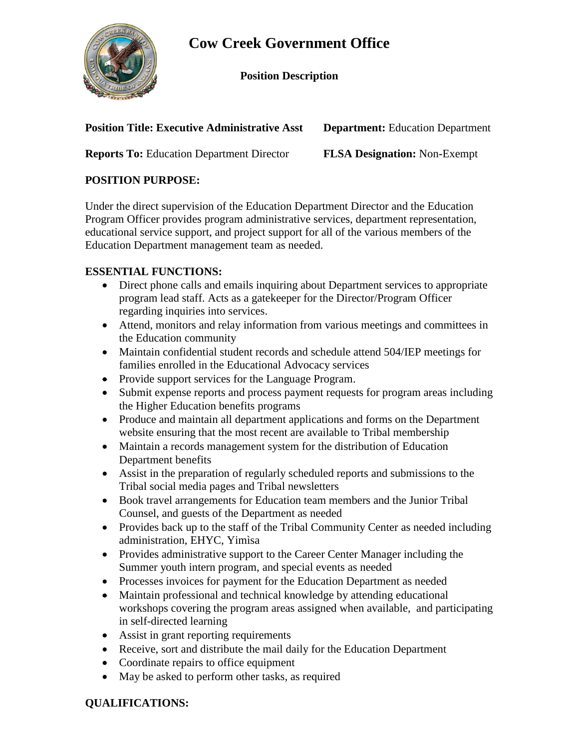

## **Cow Creek Government Office**

**Position Description**

**Position Title: Executive Administrative Asst Department:** Education Department

**Reports To:** Education Department Director **FLSA Designation:** Non**-**Exempt

## **POSITION PURPOSE:**

Under the direct supervision of the Education Department Director and the Education Program Officer provides program administrative services, department representation, educational service support, and project support for all of the various members of the Education Department management team as needed.

## **ESSENTIAL FUNCTIONS:**

- Direct phone calls and emails inquiring about Department services to appropriate program lead staff. Acts as a gatekeeper for the Director/Program Officer regarding inquiries into services.
- Attend, monitors and relay information from various meetings and committees in the Education community
- Maintain confidential student records and schedule attend 504/IEP meetings for families enrolled in the Educational Advocacy services
- Provide support services for the Language Program.
- Submit expense reports and process payment requests for program areas including the Higher Education benefits programs
- Produce and maintain all department applications and forms on the Department website ensuring that the most recent are available to Tribal membership
- Maintain a records management system for the distribution of Education Department benefits
- Assist in the preparation of regularly scheduled reports and submissions to the Tribal social media pages and Tribal newsletters
- Book travel arrangements for Education team members and the Junior Tribal Counsel, and guests of the Department as needed
- Provides back up to the staff of the Tribal Community Center as needed including administration, EHYC, Yimìsa
- Provides administrative support to the Career Center Manager including the Summer youth intern program, and special events as needed
- Processes invoices for payment for the Education Department as needed
- Maintain professional and technical knowledge by attending educational workshops covering the program areas assigned when available, and participating in self-directed learning
- Assist in grant reporting requirements
- Receive, sort and distribute the mail daily for the Education Department
- Coordinate repairs to office equipment
- May be asked to perform other tasks, as required

## **QUALIFICATIONS:**